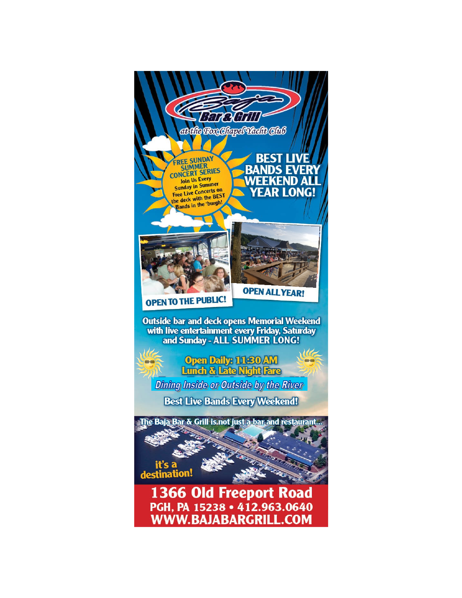